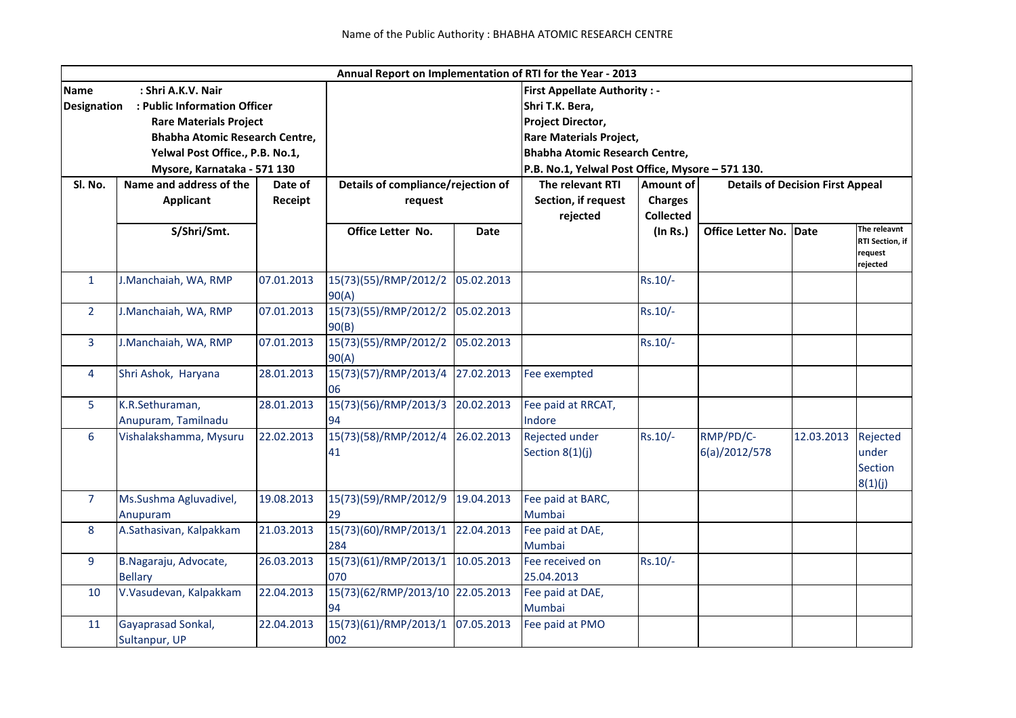|                                                    |                                         |            |                                        |                          | Annual Report on Implementation of RTI for the Year - 2013 |                                                                         |                            |            |                                                |  |  |  |
|----------------------------------------------------|-----------------------------------------|------------|----------------------------------------|--------------------------|------------------------------------------------------------|-------------------------------------------------------------------------|----------------------------|------------|------------------------------------------------|--|--|--|
| Name                                               | : Shri A.K.V. Nair                      |            |                                        |                          | <b>First Appellate Authority: -</b>                        |                                                                         |                            |            |                                                |  |  |  |
| <b>Designation</b><br>: Public Information Officer |                                         |            |                                        |                          | Shri T.K. Bera,                                            |                                                                         |                            |            |                                                |  |  |  |
|                                                    | <b>Rare Materials Project</b>           |            |                                        | <b>Project Director,</b> |                                                            |                                                                         |                            |            |                                                |  |  |  |
|                                                    | <b>Bhabha Atomic Research Centre,</b>   |            |                                        |                          |                                                            |                                                                         |                            |            |                                                |  |  |  |
|                                                    | Yelwal Post Office., P.B. No.1,         |            |                                        |                          |                                                            | <b>Rare Materials Project,</b><br><b>Bhabha Atomic Research Centre,</b> |                            |            |                                                |  |  |  |
|                                                    | Mysore, Karnataka - 571 130             |            |                                        |                          | P.B. No.1, Yelwal Post Office, Mysore - 571 130.           |                                                                         |                            |            |                                                |  |  |  |
| Sl. No.                                            | Name and address of the<br>Date of      |            | Details of compliance/rejection of     |                          | The relevant RTI                                           | <b>Amount of</b><br><b>Details of Decision First Appeal</b>             |                            |            |                                                |  |  |  |
|                                                    | <b>Applicant</b>                        | Receipt    | request                                |                          | Section, if request<br>rejected                            | <b>Charges</b>                                                          |                            |            |                                                |  |  |  |
|                                                    |                                         |            |                                        |                          |                                                            | <b>Collected</b>                                                        |                            |            |                                                |  |  |  |
|                                                    | S/Shri/Smt.                             |            | Office Letter No.                      | Date                     |                                                            | $($ In Rs. $)$                                                          | Office Letter No.          | Date       | The releavnt                                   |  |  |  |
|                                                    |                                         |            |                                        |                          |                                                            |                                                                         |                            |            | RTI Section, if<br>request<br>rejected         |  |  |  |
| $\mathbf{1}$                                       | J.Manchaiah, WA, RMP                    | 07.01.2013 | 15(73)(55)/RMP/2012/2<br>90(A)         | 05.02.2013               |                                                            | $Rs.10/-$                                                               |                            |            |                                                |  |  |  |
| $\overline{2}$                                     | J.Manchaiah, WA, RMP                    | 07.01.2013 | 15(73)(55)/RMP/2012/2<br>90(B)         | 05.02.2013               |                                                            | Rs.10/-                                                                 |                            |            |                                                |  |  |  |
| $\overline{3}$                                     | J.Manchaiah, WA, RMP                    | 07.01.2013 | 15(73)(55)/RMP/2012/2<br>90(A)         | 05.02.2013               |                                                            | $Rs.10/-$                                                               |                            |            |                                                |  |  |  |
| 4                                                  | Shri Ashok, Haryana                     | 28.01.2013 | 15(73)(57)/RMP/2013/4<br>06            | 27.02.2013               | Fee exempted                                               |                                                                         |                            |            |                                                |  |  |  |
| 5                                                  | K.R.Sethuraman,<br>Anupuram, Tamilnadu  | 28.01.2013 | 15(73)(56)/RMP/2013/3<br>94            | 20.02.2013               | Fee paid at RRCAT,<br>Indore                               |                                                                         |                            |            |                                                |  |  |  |
| 6                                                  | Vishalakshamma, Mysuru                  | 22.02.2013 | 15(73)(58)/RMP/2012/4<br>41            | 26.02.2013               | Rejected under<br>Section $8(1)(j)$                        | $Rs.10/-$                                                               | RMP/PD/C-<br>6(a)/2012/578 | 12.03.2013 | Rejected<br>under<br><b>Section</b><br>8(1)(j) |  |  |  |
| $\overline{7}$                                     | Ms.Sushma Agluvadivel,<br>Anupuram      | 19.08.2013 | 15(73)(59)/RMP/2012/9<br>29            | 19.04.2013               | Fee paid at BARC,<br>Mumbai                                |                                                                         |                            |            |                                                |  |  |  |
| 8                                                  | A.Sathasivan, Kalpakkam                 | 21.03.2013 | 15(73)(60)/RMP/2013/1<br>284           | 22.04.2013               | Fee paid at DAE,<br>Mumbai                                 |                                                                         |                            |            |                                                |  |  |  |
| 9                                                  | B.Nagaraju, Advocate,<br><b>Bellary</b> | 26.03.2013 | 15(73)(61)/RMP/2013/1<br>070           | 10.05.2013               | Fee received on<br>25.04.2013                              | Rs.10/-                                                                 |                            |            |                                                |  |  |  |
| 10                                                 | V.Vasudevan, Kalpakkam                  | 22.04.2013 | 15(73)(62/RMP/2013/10 22.05.2013<br>94 |                          | Fee paid at DAE,<br>Mumbai                                 |                                                                         |                            |            |                                                |  |  |  |
| 11                                                 | Gayaprasad Sonkal,<br>Sultanpur, UP     | 22.04.2013 | 15(73)(61)/RMP/2013/1<br>002           | 07.05.2013               | Fee paid at PMO                                            |                                                                         |                            |            |                                                |  |  |  |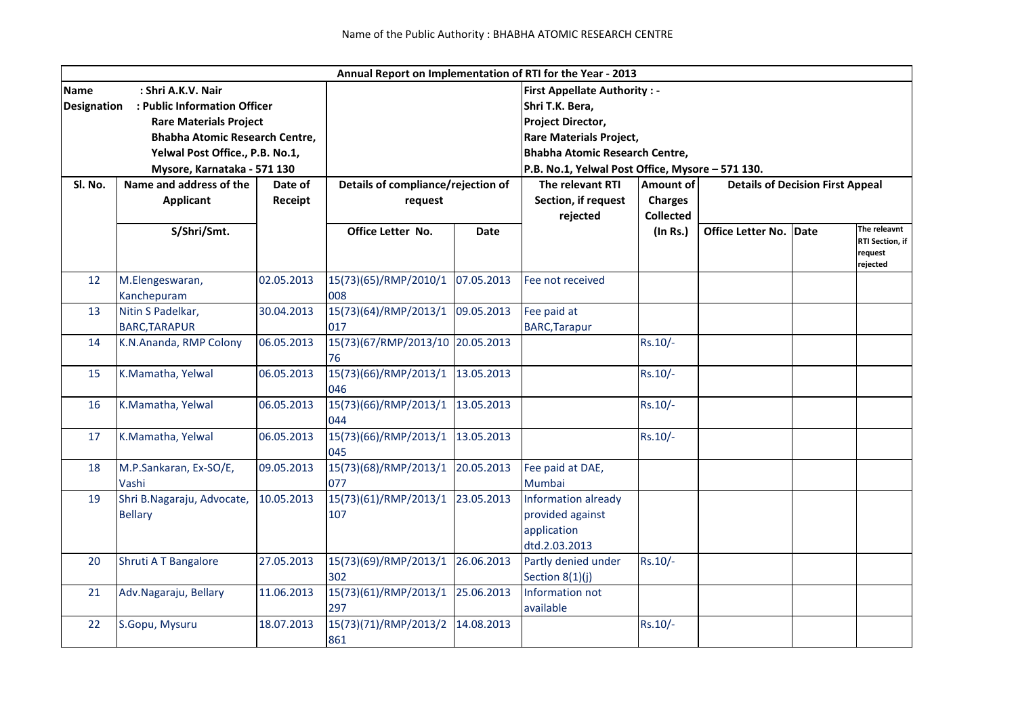|                                                    |                                       |            | Annual Report on Implementation of RTI for the Year - 2013 |                   |                                                                                           |                                                      |                   |      |                        |  |  |  |
|----------------------------------------------------|---------------------------------------|------------|------------------------------------------------------------|-------------------|-------------------------------------------------------------------------------------------|------------------------------------------------------|-------------------|------|------------------------|--|--|--|
| <b>Name</b>                                        | : Shri A.K.V. Nair                    |            |                                                            |                   | <b>First Appellate Authority: -</b>                                                       |                                                      |                   |      |                        |  |  |  |
| <b>Designation</b><br>: Public Information Officer |                                       |            |                                                            | Shri T.K. Bera,   |                                                                                           |                                                      |                   |      |                        |  |  |  |
|                                                    | <b>Rare Materials Project</b>         |            |                                                            | Project Director, |                                                                                           |                                                      |                   |      |                        |  |  |  |
|                                                    | <b>Bhabha Atomic Research Centre,</b> |            |                                                            |                   | <b>Rare Materials Project,</b>                                                            |                                                      |                   |      |                        |  |  |  |
|                                                    | Yelwal Post Office., P.B. No.1,       |            |                                                            |                   | <b>Bhabha Atomic Research Centre,</b><br>P.B. No.1, Yelwal Post Office, Mysore - 571 130. |                                                      |                   |      |                        |  |  |  |
|                                                    | Mysore, Karnataka - 571 130           |            |                                                            |                   |                                                                                           |                                                      |                   |      |                        |  |  |  |
| Sl. No.                                            | Name and address of the<br>Date of    |            | Details of compliance/rejection of                         |                   | The relevant RTI                                                                          | Amount of<br><b>Details of Decision First Appeal</b> |                   |      |                        |  |  |  |
|                                                    | <b>Applicant</b>                      | Receipt    | request                                                    |                   | Section, if request                                                                       | <b>Charges</b>                                       |                   |      |                        |  |  |  |
|                                                    |                                       |            |                                                            |                   | rejected                                                                                  | <b>Collected</b>                                     |                   |      |                        |  |  |  |
|                                                    | S/Shri/Smt.                           |            | Office Letter No.                                          | <b>Date</b>       |                                                                                           | (In Rs.)                                             | Office Letter No. | Date | The releavnt           |  |  |  |
|                                                    |                                       |            |                                                            |                   |                                                                                           |                                                      |                   |      | <b>RTI Section, if</b> |  |  |  |
|                                                    |                                       |            |                                                            |                   |                                                                                           |                                                      |                   |      | request<br>rejected    |  |  |  |
| 12                                                 | M.Elengeswaran,                       | 02.05.2013 | 15(73)(65)/RMP/2010/1                                      | 07.05.2013        | Fee not received                                                                          |                                                      |                   |      |                        |  |  |  |
|                                                    | Kanchepuram                           |            | 008                                                        |                   |                                                                                           |                                                      |                   |      |                        |  |  |  |
| 13                                                 | Nitin S Padelkar,                     | 30.04.2013 | 15(73)(64)/RMP/2013/1                                      | 09.05.2013        | Fee paid at                                                                               |                                                      |                   |      |                        |  |  |  |
|                                                    | <b>BARC, TARAPUR</b>                  |            | 017                                                        |                   | <b>BARC, Tarapur</b>                                                                      |                                                      |                   |      |                        |  |  |  |
| 14                                                 | K.N.Ananda, RMP Colony                | 06.05.2013 | 15(73)(67/RMP/2013/10 20.05.2013                           |                   |                                                                                           | Rs.10/-                                              |                   |      |                        |  |  |  |
|                                                    |                                       |            | 76                                                         |                   |                                                                                           |                                                      |                   |      |                        |  |  |  |
| 15                                                 | K.Mamatha, Yelwal                     | 06.05.2013 | 15(73)(66)/RMP/2013/1                                      | 13.05.2013        |                                                                                           | Rs.10/-                                              |                   |      |                        |  |  |  |
|                                                    |                                       |            | 046                                                        |                   |                                                                                           |                                                      |                   |      |                        |  |  |  |
| 16                                                 | K.Mamatha, Yelwal                     | 06.05.2013 | 15(73)(66)/RMP/2013/1                                      | 13.05.2013        |                                                                                           | Rs.10/-                                              |                   |      |                        |  |  |  |
|                                                    |                                       |            | 044                                                        |                   |                                                                                           |                                                      |                   |      |                        |  |  |  |
| 17                                                 | K.Mamatha, Yelwal                     | 06.05.2013 | 15(73)(66)/RMP/2013/1                                      | 13.05.2013        |                                                                                           | Rs.10/-                                              |                   |      |                        |  |  |  |
|                                                    |                                       |            | 045                                                        |                   |                                                                                           |                                                      |                   |      |                        |  |  |  |
| 18                                                 | M.P.Sankaran, Ex-SO/E,                | 09.05.2013 | 15(73)(68)/RMP/2013/1                                      | 20.05.2013        | Fee paid at DAE,                                                                          |                                                      |                   |      |                        |  |  |  |
|                                                    | Vashi                                 |            | 077                                                        |                   | Mumbai                                                                                    |                                                      |                   |      |                        |  |  |  |
| 19                                                 | Shri B.Nagaraju, Advocate,            | 10.05.2013 | 15(73)(61)/RMP/2013/1                                      | 23.05.2013        | Information already                                                                       |                                                      |                   |      |                        |  |  |  |
|                                                    | <b>Bellary</b>                        |            | 107                                                        |                   | provided against                                                                          |                                                      |                   |      |                        |  |  |  |
|                                                    |                                       |            |                                                            |                   | application                                                                               |                                                      |                   |      |                        |  |  |  |
|                                                    |                                       |            |                                                            |                   | dtd.2.03.2013                                                                             |                                                      |                   |      |                        |  |  |  |
| 20                                                 | Shruti A T Bangalore                  | 27.05.2013 | 15(73)(69)/RMP/2013/1                                      | 26.06.2013        | Partly denied under                                                                       | Rs.10/-                                              |                   |      |                        |  |  |  |
|                                                    |                                       |            | 302                                                        |                   | Section 8(1)(j)                                                                           |                                                      |                   |      |                        |  |  |  |
| 21                                                 | Adv.Nagaraju, Bellary                 | 11.06.2013 | 15(73)(61)/RMP/2013/1                                      | 25.06.2013        | Information not                                                                           |                                                      |                   |      |                        |  |  |  |
|                                                    |                                       |            | 297                                                        |                   | available                                                                                 |                                                      |                   |      |                        |  |  |  |
| 22                                                 | S.Gopu, Mysuru                        | 18.07.2013 | 15(73)(71)/RMP/2013/2                                      | 14.08.2013        |                                                                                           | Rs.10/-                                              |                   |      |                        |  |  |  |
|                                                    |                                       |            | 861                                                        |                   |                                                                                           |                                                      |                   |      |                        |  |  |  |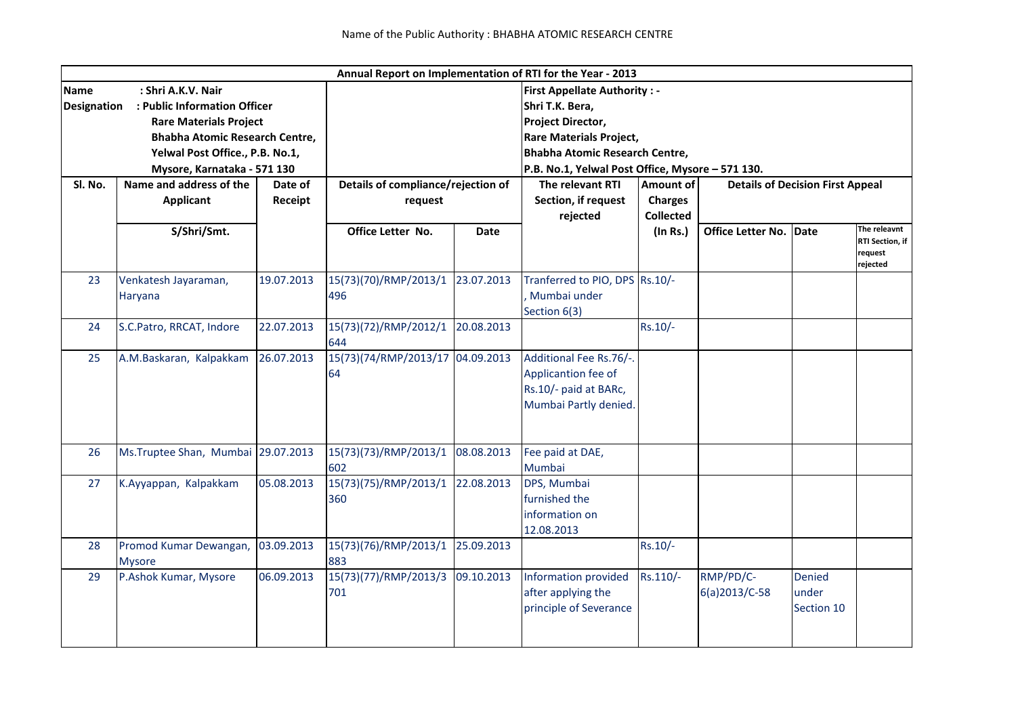|                                                    |                                                                 |            |                                    |                          | Annual Report on Implementation of RTI for the Year - 2013 |                                                             |                        |               |                                        |  |  |
|----------------------------------------------------|-----------------------------------------------------------------|------------|------------------------------------|--------------------------|------------------------------------------------------------|-------------------------------------------------------------|------------------------|---------------|----------------------------------------|--|--|
| <b>Name</b><br>: Shri A.K.V. Nair                  |                                                                 |            |                                    |                          | <b>First Appellate Authority: -</b>                        |                                                             |                        |               |                                        |  |  |
| <b>Designation</b><br>: Public Information Officer |                                                                 |            |                                    |                          | Shri T.K. Bera,                                            |                                                             |                        |               |                                        |  |  |
|                                                    | <b>Rare Materials Project</b><br>Bhabha Atomic Research Centre, |            |                                    | <b>Project Director,</b> |                                                            |                                                             |                        |               |                                        |  |  |
|                                                    |                                                                 |            |                                    |                          | <b>Rare Materials Project,</b>                             |                                                             |                        |               |                                        |  |  |
|                                                    | Yelwal Post Office., P.B. No.1,                                 |            |                                    |                          | <b>Bhabha Atomic Research Centre,</b>                      |                                                             |                        |               |                                        |  |  |
|                                                    | Mysore, Karnataka - 571 130                                     |            |                                    |                          | P.B. No.1, Yelwal Post Office, Mysore - 571 130.           |                                                             |                        |               |                                        |  |  |
| SI. No.                                            | Name and address of the                                         | Date of    | Details of compliance/rejection of |                          | The relevant RTI                                           | <b>Amount of</b><br><b>Details of Decision First Appeal</b> |                        |               |                                        |  |  |
|                                                    | <b>Applicant</b>                                                | Receipt    | request                            |                          | Section, if request                                        | <b>Charges</b>                                              |                        |               |                                        |  |  |
|                                                    |                                                                 |            |                                    |                          | rejected                                                   | <b>Collected</b>                                            |                        |               |                                        |  |  |
|                                                    | S/Shri/Smt.                                                     |            | Office Letter No.                  | <b>Date</b>              |                                                            | $($ In Rs. $)$                                              | Office Letter No. Date |               | The releavnt                           |  |  |
|                                                    |                                                                 |            |                                    |                          |                                                            |                                                             |                        |               | RTI Section, if<br>request<br>rejected |  |  |
| 23                                                 | Venkatesh Jayaraman,                                            | 19.07.2013 | 15(73)(70)/RMP/2013/1              | 23.07.2013               | Tranferred to PIO, DPS Rs.10/-                             |                                                             |                        |               |                                        |  |  |
|                                                    | Haryana                                                         |            | 496                                |                          | Mumbai under                                               |                                                             |                        |               |                                        |  |  |
|                                                    |                                                                 |            |                                    |                          | Section 6(3)                                               |                                                             |                        |               |                                        |  |  |
| 24                                                 | S.C.Patro, RRCAT, Indore                                        | 22.07.2013 | 15(73)(72)/RMP/2012/1              | 20.08.2013               |                                                            | $Rs.10/-$                                                   |                        |               |                                        |  |  |
|                                                    |                                                                 |            | 644                                |                          |                                                            |                                                             |                        |               |                                        |  |  |
| 25                                                 | A.M.Baskaran, Kalpakkam                                         | 26.07.2013 | 15(73)(74/RMP/2013/17              | 04.09.2013               | Additional Fee Rs.76/-.                                    |                                                             |                        |               |                                        |  |  |
|                                                    |                                                                 |            | 64                                 |                          | Applicantion fee of                                        |                                                             |                        |               |                                        |  |  |
|                                                    |                                                                 |            |                                    |                          | Rs.10/- paid at BARc,                                      |                                                             |                        |               |                                        |  |  |
|                                                    |                                                                 |            |                                    |                          | Mumbai Partly denied.                                      |                                                             |                        |               |                                        |  |  |
|                                                    |                                                                 |            |                                    |                          |                                                            |                                                             |                        |               |                                        |  |  |
| 26                                                 | Ms. Truptee Shan, Mumbai 29.07.2013                             |            | 15(73)(73)/RMP/2013/1              | 08.08.2013               | Fee paid at DAE,                                           |                                                             |                        |               |                                        |  |  |
|                                                    |                                                                 |            | 602                                |                          | Mumbai                                                     |                                                             |                        |               |                                        |  |  |
| 27                                                 | K.Ayyappan, Kalpakkam                                           | 05.08.2013 | 15(73)(75)/RMP/2013/1              | 22.08.2013               | DPS, Mumbai                                                |                                                             |                        |               |                                        |  |  |
|                                                    |                                                                 |            | 360                                |                          | furnished the                                              |                                                             |                        |               |                                        |  |  |
|                                                    |                                                                 |            |                                    |                          | information on                                             |                                                             |                        |               |                                        |  |  |
|                                                    |                                                                 |            |                                    |                          | 12.08.2013                                                 |                                                             |                        |               |                                        |  |  |
| 28                                                 | Promod Kumar Dewangan, 03.09.2013                               |            | 15(73)(76)/RMP/2013/1 25.09.2013   |                          |                                                            | $Rs.10/-$                                                   |                        |               |                                        |  |  |
|                                                    | <b>Mysore</b>                                                   |            | 883                                |                          |                                                            |                                                             |                        |               |                                        |  |  |
| 29                                                 | P.Ashok Kumar, Mysore                                           | 06.09.2013 | 15(73)(77)/RMP/2013/3              | 09.10.2013               | Information provided                                       | Rs.110/-                                                    | RMP/PD/C-              | <b>Denied</b> |                                        |  |  |
|                                                    |                                                                 |            | 701                                |                          | after applying the                                         |                                                             | 6(a)2013/C-58          | under         |                                        |  |  |
|                                                    |                                                                 |            |                                    |                          | principle of Severance                                     |                                                             |                        | Section 10    |                                        |  |  |
|                                                    |                                                                 |            |                                    |                          |                                                            |                                                             |                        |               |                                        |  |  |
|                                                    |                                                                 |            |                                    |                          |                                                            |                                                             |                        |               |                                        |  |  |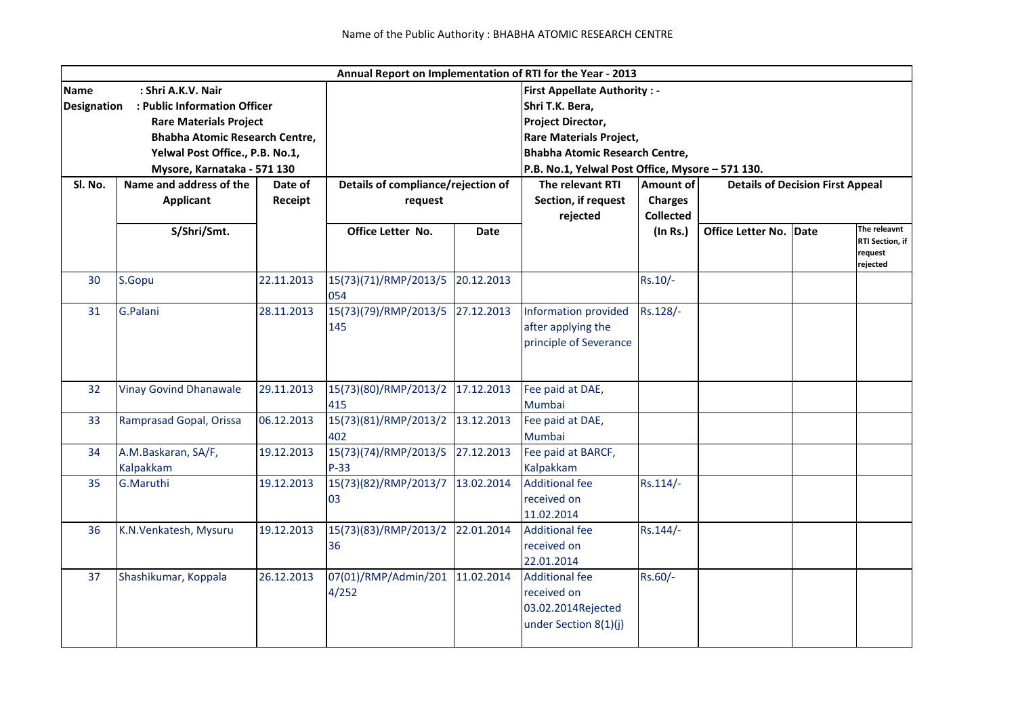|                                                    |                                       |            |                       |                                    | Annual Report on Implementation of RTI for the Year - 2013              |                                                             |                          |      |                     |  |  |  |
|----------------------------------------------------|---------------------------------------|------------|-----------------------|------------------------------------|-------------------------------------------------------------------------|-------------------------------------------------------------|--------------------------|------|---------------------|--|--|--|
| <b>Name</b><br>: Shri A.K.V. Nair                  |                                       |            |                       |                                    | <b>First Appellate Authority: -</b>                                     |                                                             |                          |      |                     |  |  |  |
| : Public Information Officer<br><b>Designation</b> |                                       |            |                       |                                    | Shri T.K. Bera,                                                         |                                                             |                          |      |                     |  |  |  |
|                                                    | <b>Rare Materials Project</b>         |            |                       |                                    | <b>Project Director,</b>                                                |                                                             |                          |      |                     |  |  |  |
|                                                    | <b>Bhabha Atomic Research Centre,</b> |            |                       |                                    |                                                                         |                                                             |                          |      |                     |  |  |  |
|                                                    | Yelwal Post Office., P.B. No.1,       |            |                       |                                    | <b>Rare Materials Project,</b><br><b>Bhabha Atomic Research Centre,</b> |                                                             |                          |      |                     |  |  |  |
|                                                    | Mysore, Karnataka - 571 130           |            |                       |                                    | P.B. No.1, Yelwal Post Office, Mysore - 571 130.                        |                                                             |                          |      |                     |  |  |  |
| SI. No.                                            | Name and address of the               | Date of    |                       | Details of compliance/rejection of |                                                                         | <b>Amount of</b><br><b>Details of Decision First Appeal</b> |                          |      |                     |  |  |  |
|                                                    | <b>Applicant</b>                      | Receipt    | request               |                                    | Section, if request<br>rejected                                         | <b>Charges</b>                                              |                          |      |                     |  |  |  |
|                                                    |                                       |            |                       |                                    |                                                                         | <b>Collected</b>                                            |                          |      |                     |  |  |  |
|                                                    | S/Shri/Smt.                           |            | Office Letter No.     | Date                               |                                                                         | $($ In Rs. $)$                                              | <b>Office Letter No.</b> | Date | The releavnt        |  |  |  |
|                                                    |                                       |            |                       |                                    |                                                                         |                                                             |                          |      | RTI Section, if     |  |  |  |
|                                                    |                                       |            |                       |                                    |                                                                         |                                                             |                          |      | request<br>rejected |  |  |  |
| 30                                                 | S.Gopu                                | 22.11.2013 | 15(73)(71)/RMP/2013/5 | 20.12.2013                         |                                                                         | $Rs.10/-$                                                   |                          |      |                     |  |  |  |
|                                                    |                                       |            | 054                   |                                    |                                                                         |                                                             |                          |      |                     |  |  |  |
| 31                                                 | G.Palani                              | 28.11.2013 | 15(73)(79)/RMP/2013/5 | 27.12.2013                         | Information provided                                                    | Rs.128/-                                                    |                          |      |                     |  |  |  |
|                                                    |                                       |            | 145                   |                                    | after applying the                                                      |                                                             |                          |      |                     |  |  |  |
|                                                    |                                       |            |                       |                                    | principle of Severance                                                  |                                                             |                          |      |                     |  |  |  |
|                                                    |                                       |            |                       |                                    |                                                                         |                                                             |                          |      |                     |  |  |  |
|                                                    |                                       |            |                       |                                    |                                                                         |                                                             |                          |      |                     |  |  |  |
| 32                                                 | <b>Vinay Govind Dhanawale</b>         | 29.11.2013 | 15(73)(80)/RMP/2013/2 | 17.12.2013                         | Fee paid at DAE,                                                        |                                                             |                          |      |                     |  |  |  |
|                                                    |                                       |            | 415                   |                                    | Mumbai                                                                  |                                                             |                          |      |                     |  |  |  |
| 33                                                 | Ramprasad Gopal, Orissa               | 06.12.2013 | 15(73)(81)/RMP/2013/2 | 13.12.2013                         | Fee paid at DAE,                                                        |                                                             |                          |      |                     |  |  |  |
|                                                    |                                       |            | 402                   |                                    | Mumbai                                                                  |                                                             |                          |      |                     |  |  |  |
| 34                                                 | A.M.Baskaran, SA/F,                   | 19.12.2013 | 15(73)(74)/RMP/2013/S | 27.12.2013                         | Fee paid at BARCF,                                                      |                                                             |                          |      |                     |  |  |  |
|                                                    | Kalpakkam                             |            | $P-33$                |                                    | Kalpakkam                                                               |                                                             |                          |      |                     |  |  |  |
| 35                                                 | G.Maruthi                             | 19.12.2013 | 15(73)(82)/RMP/2013/7 | 13.02.2014                         | <b>Additional fee</b>                                                   | $Rs.114/-$                                                  |                          |      |                     |  |  |  |
|                                                    |                                       |            | 03                    |                                    | received on                                                             |                                                             |                          |      |                     |  |  |  |
|                                                    |                                       |            |                       |                                    | 11.02.2014                                                              |                                                             |                          |      |                     |  |  |  |
| 36                                                 | K.N.Venkatesh, Mysuru                 | 19.12.2013 | 15(73)(83)/RMP/2013/2 | 22.01.2014                         | <b>Additional fee</b>                                                   | Rs.144/-                                                    |                          |      |                     |  |  |  |
|                                                    |                                       |            | 36                    |                                    | received on                                                             |                                                             |                          |      |                     |  |  |  |
|                                                    |                                       |            |                       |                                    | 22.01.2014                                                              |                                                             |                          |      |                     |  |  |  |
| 37                                                 | Shashikumar, Koppala                  | 26.12.2013 | 07(01)/RMP/Admin/201  | 11.02.2014                         | <b>Additional fee</b>                                                   | Rs.60/-                                                     |                          |      |                     |  |  |  |
|                                                    |                                       |            | 4/252                 |                                    | received on                                                             |                                                             |                          |      |                     |  |  |  |
|                                                    |                                       |            |                       |                                    | 03.02.2014Rejected                                                      |                                                             |                          |      |                     |  |  |  |
|                                                    |                                       |            |                       |                                    | under Section 8(1)(j)                                                   |                                                             |                          |      |                     |  |  |  |
|                                                    |                                       |            |                       |                                    |                                                                         |                                                             |                          |      |                     |  |  |  |